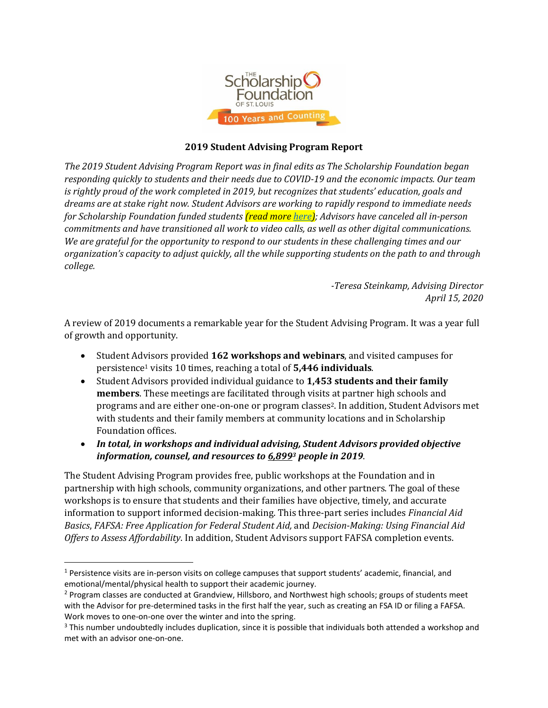

## **2019 Student Advising Program Report**

*The 2019 Student Advising Program Report was in final edits as The Scholarship Foundation began responding quickly to students and their needs due to COVID-19 and the economic impacts. Our team is rightly proud of the work completed in 2019, but recognizes that students' education, goals and dreams are at stake right now. Student Advisors are working to rapidly respond to immediate needs for Scholarship Foundation funded students (read more [here\)](https://sfstl.org/foundation-responds-to-critical-needs/); Advisors have canceled all in-person commitments and have transitioned all work to video calls, as well as other digital communications. We are grateful for the opportunity to respond to our students in these challenging times and our organization's capacity to adjust quickly, all the while supporting students on the path to and through college.*

> *-Teresa Steinkamp, Advising Director April 15, 2020*

A review of 2019 documents a remarkable year for the Student Advising Program. It was a year full of growth and opportunity.

- Student Advisors provided **162 workshops and webinars**, and visited campuses for persistence<sup>1</sup> visits 10 times, reaching a total of **5,446 individuals**.
- Student Advisors provided individual guidance to **1,453 students and their family members**. These meetings are facilitated through visits at partner high schools and programs and are either one-on-one or program classes2. In addition, Student Advisors met with students and their family members at community locations and in Scholarship Foundation offices.
- *In total, in workshops and individual advising, Student Advisors provided objective information, counsel, and resources to 6,899<sup>3</sup> people in 2019*.

The Student Advising Program provides free, public workshops at the Foundation and in partnership with high schools, community organizations, and other partners. The goal of these workshops is to ensure that students and their families have objective, timely, and accurate information to support informed decision-making. This three-part series includes *Financial Aid Basics*, *FAFSA: Free Application for Federal Student Aid,* and *Decision-Making: Using Financial Aid Offers to Assess Affordability*. In addition, Student Advisors support FAFSA completion events.

<sup>1</sup> Persistence visits are in-person visits on college campuses that support students' academic, financial, and emotional/mental/physical health to support their academic journey.

<sup>&</sup>lt;sup>2</sup> Program classes are conducted at Grandview, Hillsboro, and Northwest high schools; groups of students meet with the Advisor for pre-determined tasks in the first half the year, such as creating an FSA ID or filing a FAFSA. Work moves to one-on-one over the winter and into the spring.

<sup>&</sup>lt;sup>3</sup> This number undoubtedly includes duplication, since it is possible that individuals both attended a workshop and met with an advisor one-on-one.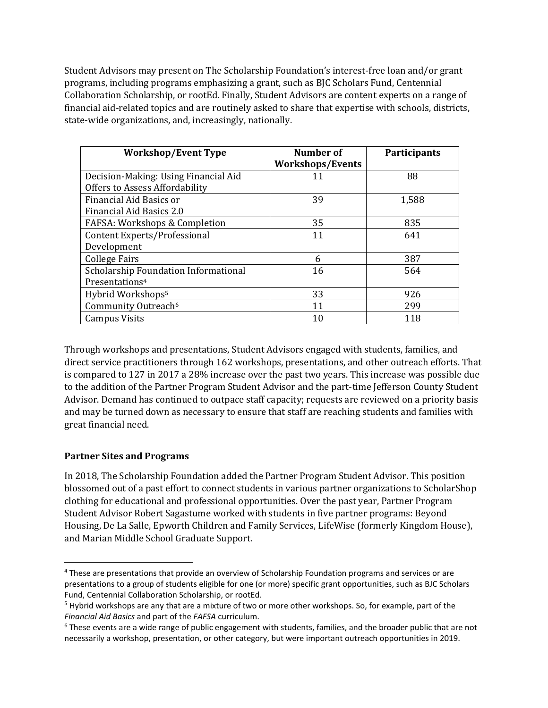Student Advisors may present on The Scholarship Foundation's interest-free loan and/or grant programs, including programs emphasizing a grant, such as BJC Scholars Fund, Centennial Collaboration Scholarship, or rootEd. Finally, Student Advisors are content experts on a range of financial aid-related topics and are routinely asked to share that expertise with schools, districts, state-wide organizations, and, increasingly, nationally.

| <b>Workshop/Event Type</b>           | <b>Number of</b>        | Participants |
|--------------------------------------|-------------------------|--------------|
|                                      | <b>Workshops/Events</b> |              |
| Decision-Making: Using Financial Aid | 11                      | 88           |
| Offers to Assess Affordability       |                         |              |
| Financial Aid Basics or              | 39                      | 1,588        |
| Financial Aid Basics 2.0             |                         |              |
| FAFSA: Workshops & Completion        | 35                      | 835          |
| Content Experts/Professional         | 11                      | 641          |
| Development                          |                         |              |
| <b>College Fairs</b>                 | 6                       | 387          |
| Scholarship Foundation Informational | 16                      | 564          |
| Presentations <sup>4</sup>           |                         |              |
| Hybrid Workshops <sup>5</sup>        | 33                      | 926          |
| Community Outreach <sup>6</sup>      | 11                      | 299          |
| <b>Campus Visits</b>                 | 10                      | 118          |

Through workshops and presentations, Student Advisors engaged with students, families, and direct service practitioners through 162 workshops, presentations, and other outreach efforts. That is compared to 127 in 2017 a 28% increase over the past two years. This increase was possible due to the addition of the Partner Program Student Advisor and the part-time Jefferson County Student Advisor. Demand has continued to outpace staff capacity; requests are reviewed on a priority basis and may be turned down as necessary to ensure that staff are reaching students and families with great financial need.

## **Partner Sites and Programs**

In 2018, The Scholarship Foundation added the Partner Program Student Advisor. This position blossomed out of a past effort to connect students in various partner organizations to ScholarShop clothing for educational and professional opportunities. Over the past year, Partner Program Student Advisor Robert Sagastume worked with students in five partner programs: Beyond Housing, De La Salle, Epworth Children and Family Services, LifeWise (formerly Kingdom House), and Marian Middle School Graduate Support.

<sup>4</sup> These are presentations that provide an overview of Scholarship Foundation programs and services or are presentations to a group of students eligible for one (or more) specific grant opportunities, such as BJC Scholars Fund, Centennial Collaboration Scholarship, or rootEd.

 $<sup>5</sup>$  Hybrid workshops are any that are a mixture of two or more other workshops. So, for example, part of the</sup> *Financial Aid Basics* and part of the *FAFSA* curriculum.

 $6$  These events are a wide range of public engagement with students, families, and the broader public that are not necessarily a workshop, presentation, or other category, but were important outreach opportunities in 2019.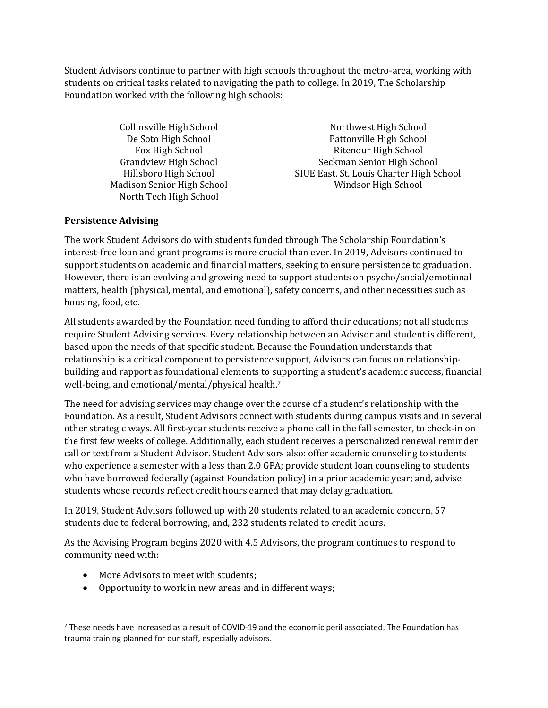Student Advisors continue to partner with high schools throughout the metro-area, working with students on critical tasks related to navigating the path to college. In 2019, The Scholarship Foundation worked with the following high schools:

North Tech High School

Collinsville High School Northwest High School De Soto High School Pattonville High School Fox High School Ritenour High School Grandview High School Seckman Senior High School Hillsboro High School SIUE East. St. Louis Charter High School Madison Senior High School Windsor High School

## **Persistence Advising**

The work Student Advisors do with students funded through The Scholarship Foundation's interest-free loan and grant programs is more crucial than ever. In 2019, Advisors continued to support students on academic and financial matters, seeking to ensure persistence to graduation. However, there is an evolving and growing need to support students on psycho/social/emotional matters, health (physical, mental, and emotional), safety concerns, and other necessities such as housing, food, etc.

All students awarded by the Foundation need funding to afford their educations; not all students require Student Advising services. Every relationship between an Advisor and student is different, based upon the needs of that specific student. Because the Foundation understands that relationship is a critical component to persistence support, Advisors can focus on relationshipbuilding and rapport as foundational elements to supporting a student's academic success, financial well-being, and emotional/mental/physical health.<sup>7</sup>

The need for advising services may change over the course of a student's relationship with the Foundation. As a result, Student Advisors connect with students during campus visits and in several other strategic ways. All first-year students receive a phone call in the fall semester, to check-in on the first few weeks of college. Additionally, each student receives a personalized renewal reminder call or text from a Student Advisor. Student Advisors also: offer academic counseling to students who experience a semester with a less than 2.0 GPA; provide student loan counseling to students who have borrowed federally (against Foundation policy) in a prior academic year; and, advise students whose records reflect credit hours earned that may delay graduation.

In 2019, Student Advisors followed up with 20 students related to an academic concern, 57 students due to federal borrowing, and, 232 students related to credit hours.

As the Advising Program begins 2020 with 4.5 Advisors, the program continues to respond to community need with:

- More Advisors to meet with students;
- Opportunity to work in new areas and in different ways;

 $7$  These needs have increased as a result of COVID-19 and the economic peril associated. The Foundation has trauma training planned for our staff, especially advisors.